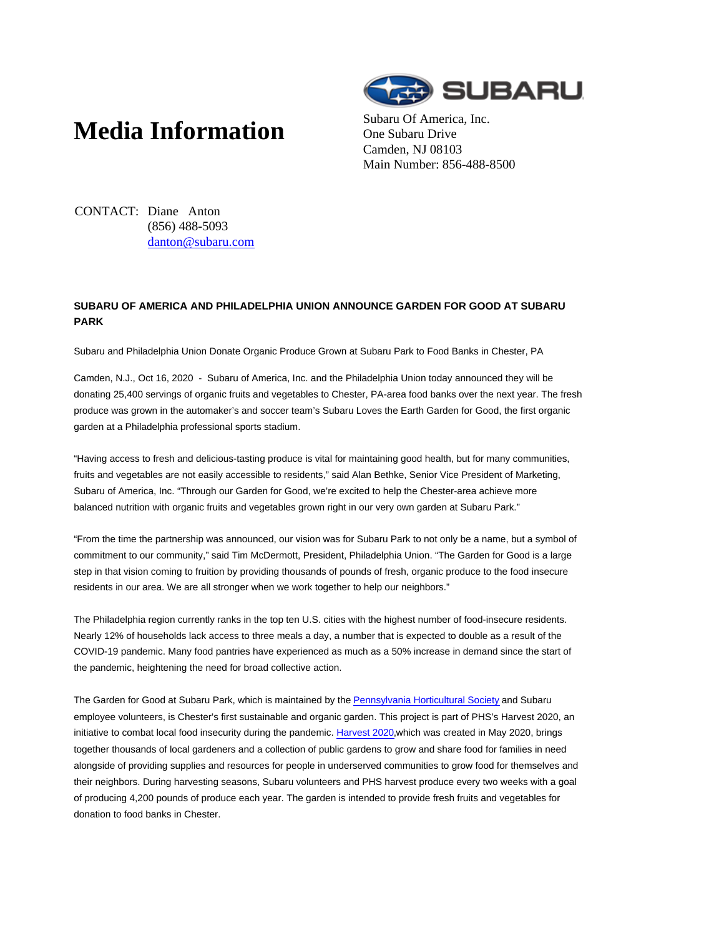# **Media Information** Subaru Of America, Inc.



One Subaru Drive Camden, NJ 08103 Main Number: 856-488-8500

CONTACT: Diane Anton (856) 488-5093 danton@subaru.com

## **SUBARU OF AMERICA AND PHILADELPHIA UNION ANNOUNCE GARDEN FOR GOOD AT SUBARU PARK**

Subaru and Philadelphia Union Donate Organic Produce Grown at Subaru Park to Food Banks in Chester, PA

Camden, N.J., Oct 16, 2020 - Subaru of America, Inc. and the Philadelphia Union today announced they will be donating 25,400 servings of organic fruits and vegetables to Chester, PA-area food banks over the next year. The fresh produce was grown in the automaker's and soccer team's Subaru Loves the Earth Garden for Good, the first organic garden at a Philadelphia professional sports stadium.

"Having access to fresh and delicious-tasting produce is vital for maintaining good health, but for many communities, fruits and vegetables are not easily accessible to residents," said Alan Bethke, Senior Vice President of Marketing, Subaru of America, Inc. "Through our Garden for Good, we're excited to help the Chester-area achieve more balanced nutrition with organic fruits and vegetables grown right in our very own garden at Subaru Park."

"From the time the partnership was announced, our vision was for Subaru Park to not only be a name, but a symbol of commitment to our community," said Tim McDermott, President, Philadelphia Union. "The Garden for Good is a large step in that vision coming to fruition by providing thousands of pounds of fresh, organic produce to the food insecure residents in our area. We are all stronger when we work together to help our neighbors."

The Philadelphia region currently ranks in the top ten U.S. cities with the highest number of food-insecure residents. Nearly 12% of households lack access to three meals a day, a number that is expected to double as a result of the COVID-19 pandemic. Many food pantries have experienced as much as a 50% increase in demand since the start of the pandemic, heightening the need for broad collective action.

The Garden for Good at Subaru Park, which is maintained by the Pennsylvania Horticultural Society and Subaru employee volunteers, is Chester's first sustainable and organic garden. This project is part of PHS's Harvest 2020, an initiative to combat local food insecurity during the pandemic. Harvest 2020, which was created in May 2020, brings together thousands of local gardeners and a collection of public gardens to grow and share food for families in need alongside of providing supplies and resources for people in underserved communities to grow food for themselves and their neighbors. During harvesting seasons, Subaru volunteers and PHS harvest produce every two weeks with a goal of producing 4,200 pounds of produce each year. The garden is intended to provide fresh fruits and vegetables for donation to food banks in Chester.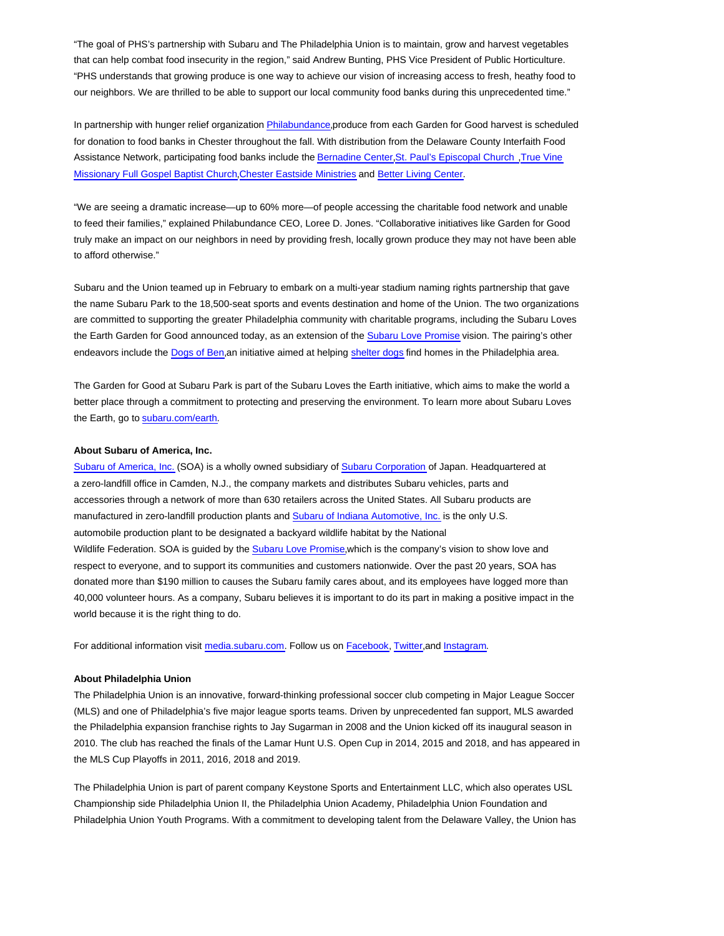"The goal of PHS's partnership with Subaru and The Philadelphia Union is to maintain, grow and harvest vegetables that can help combat food insecurity in the region," said Andrew Bunting, PHS Vice President of Public Horticulture. "PHS understands that growing produce is one way to achieve our vision of increasing access to fresh, heathy food to our neighbors. We are thrilled to be able to support our local community food banks during this unprecedented time."

In partnership with hunger relief organization Philabundance,produce from each Garden for Good harvest is scheduled for donation to food banks in Chester throughout the fall. With distribution from the Delaware County Interfaith Food Assistance Network, participating food banks include the Bernadine Center,St. Paul's Episcopal Church ,True Vine Missionary Full Gospel Baptist Church,Chester Eastside Ministries and Better Living Center.

"We are seeing a dramatic increase—up to 60% more—of people accessing the charitable food network and unable to feed their families," explained Philabundance CEO, Loree D. Jones. "Collaborative initiatives like Garden for Good truly make an impact on our neighbors in need by providing fresh, locally grown produce they may not have been able to afford otherwise."

Subaru and the Union teamed up in February to embark on a multi-year stadium naming rights partnership that gave the name Subaru Park to the 18,500-seat sports and events destination and home of the Union. The two organizations are committed to supporting the greater Philadelphia community with charitable programs, including the Subaru Loves the Earth Garden for Good announced today, as an extension of the Subaru Love Promise vision. The pairing's other endeavors include the Dogs of Ben,an initiative aimed at helping shelter dogs find homes in the Philadelphia area.

The Garden for Good at Subaru Park is part of the Subaru Loves the Earth initiative, which aims to make the world a better place through a commitment to protecting and preserving the environment. To learn more about Subaru Loves the Earth, go to subaru.com/earth.

#### **About Subaru of America, Inc.**

Subaru of America, Inc. (SOA) is a wholly owned subsidiary of Subaru Corporation of Japan. Headquartered at a zero-landfill office in Camden, N.J., the company markets and distributes Subaru vehicles, parts and accessories through a network of more than 630 retailers across the United States. All Subaru products are manufactured in zero-landfill production plants and Subaru of Indiana Automotive, Inc. is the only U.S. automobile production plant to be designated a backyard wildlife habitat by the National Wildlife Federation. SOA is guided by the Subaru Love Promise,which is the company's vision to show love and respect to everyone, and to support its communities and customers nationwide. Over the past 20 years, SOA has donated more than \$190 million to causes the Subaru family cares about, and its employees have logged more than 40,000 volunteer hours. As a company, Subaru believes it is important to do its part in making a positive impact in the world because it is the right thing to do.

For additional information visit media.subaru.com. Follow us on Facebook, Twitter,and Instagram.

#### **About Philadelphia Union**

The Philadelphia Union is an innovative, forward-thinking professional soccer club competing in Major League Soccer (MLS) and one of Philadelphia's five major league sports teams. Driven by unprecedented fan support, MLS awarded the Philadelphia expansion franchise rights to Jay Sugarman in 2008 and the Union kicked off its inaugural season in 2010. The club has reached the finals of the Lamar Hunt U.S. Open Cup in 2014, 2015 and 2018, and has appeared in the MLS Cup Playoffs in 2011, 2016, 2018 and 2019.

The Philadelphia Union is part of parent company Keystone Sports and Entertainment LLC, which also operates USL Championship side Philadelphia Union II, the Philadelphia Union Academy, Philadelphia Union Foundation and Philadelphia Union Youth Programs. With a commitment to developing talent from the Delaware Valley, the Union has